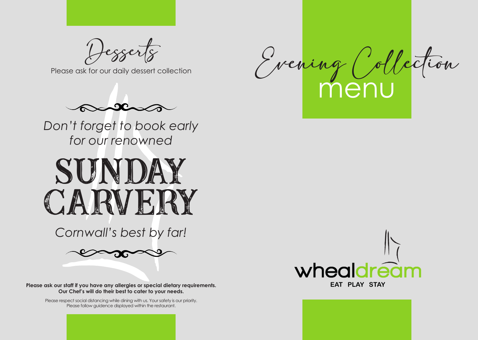

wheal



**Please ask our staff if you have any allergies or special dietary requirements. Our Chef's will do their best to cater to your needs.**

> Please respect social distancing while dining with us. Your safety is our priority. Please follow guidence displayed within the restaurant.

Desserts

Please ask for our daily dessert collection



*Don't forget to book early for our renowned*



*Cornwall's best by far!*